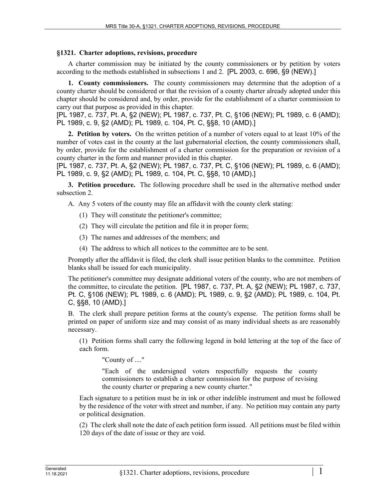## **§1321. Charter adoptions, revisions, procedure**

A charter commission may be initiated by the county commissioners or by petition by voters according to the methods established in subsections 1 and 2. [PL 2003, c. 696, §9 (NEW).]

**1. County commissioners.** The county commissioners may determine that the adoption of a county charter should be considered or that the revision of a county charter already adopted under this chapter should be considered and, by order, provide for the establishment of a charter commission to carry out that purpose as provided in this chapter.

[PL 1987, c. 737, Pt. A, §2 (NEW); PL 1987, c. 737, Pt. C, §106 (NEW); PL 1989, c. 6 (AMD); PL 1989, c. 9, §2 (AMD); PL 1989, c. 104, Pt. C, §§8, 10 (AMD).]

**2. Petition by voters.** On the written petition of a number of voters equal to at least 10% of the number of votes cast in the county at the last gubernatorial election, the county commissioners shall, by order, provide for the establishment of a charter commission for the preparation or revision of a county charter in the form and manner provided in this chapter.

[PL 1987, c. 737, Pt. A, §2 (NEW); PL 1987, c. 737, Pt. C, §106 (NEW); PL 1989, c. 6 (AMD); PL 1989, c. 9, §2 (AMD); PL 1989, c. 104, Pt. C, §§8, 10 (AMD).]

**3. Petition procedure.** The following procedure shall be used in the alternative method under subsection 2.

A. Any 5 voters of the county may file an affidavit with the county clerk stating:

- (1) They will constitute the petitioner's committee;
- (2) They will circulate the petition and file it in proper form;
- (3) The names and addresses of the members; and
- (4) The address to which all notices to the committee are to be sent.

Promptly after the affidavit is filed, the clerk shall issue petition blanks to the committee. Petition blanks shall be issued for each municipality.

The petitioner's committee may designate additional voters of the county, who are not members of the committee, to circulate the petition. [PL 1987, c. 737, Pt. A, §2 (NEW); PL 1987, c. 737, Pt. C, §106 (NEW); PL 1989, c. 6 (AMD); PL 1989, c. 9, §2 (AMD); PL 1989, c. 104, Pt. C, §§8, 10 (AMD).]

B. The clerk shall prepare petition forms at the county's expense. The petition forms shall be printed on paper of uniform size and may consist of as many individual sheets as are reasonably necessary.

(1) Petition forms shall carry the following legend in bold lettering at the top of the face of each form.

"County of ...."

"Each of the undersigned voters respectfully requests the county commissioners to establish a charter commission for the purpose of revising the county charter or preparing a new county charter."

Each signature to a petition must be in ink or other indelible instrument and must be followed by the residence of the voter with street and number, if any. No petition may contain any party or political designation.

(2) The clerk shall note the date of each petition form issued. All petitions must be filed within 120 days of the date of issue or they are void.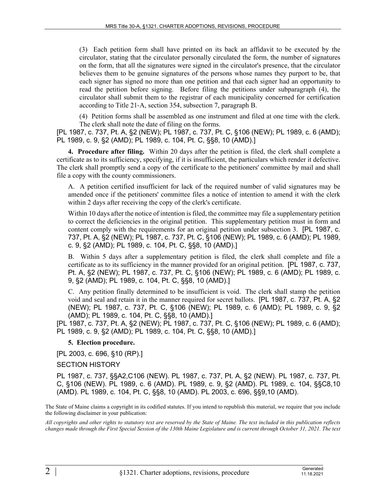(3) Each petition form shall have printed on its back an affidavit to be executed by the circulator, stating that the circulator personally circulated the form, the number of signatures on the form, that all the signatures were signed in the circulator's presence, that the circulator believes them to be genuine signatures of the persons whose names they purport to be, that each signer has signed no more than one petition and that each signer had an opportunity to read the petition before signing. Before filing the petitions under subparagraph (4), the circulator shall submit them to the registrar of each municipality concerned for certification according to Title 21‑A, section 354, subsection 7, paragraph B.

(4) Petition forms shall be assembled as one instrument and filed at one time with the clerk. The clerk shall note the date of filing on the forms.

[PL 1987, c. 737, Pt. A, §2 (NEW); PL 1987, c. 737, Pt. C, §106 (NEW); PL 1989, c. 6 (AMD); PL 1989, c. 9, §2 (AMD); PL 1989, c. 104, Pt. C, §§8, 10 (AMD).]

**4. Procedure after filing.** Within 20 days after the petition is filed, the clerk shall complete a certificate as to its sufficiency, specifying, if it is insufficient, the particulars which render it defective. The clerk shall promptly send a copy of the certificate to the petitioners' committee by mail and shall file a copy with the county commissioners.

A. A petition certified insufficient for lack of the required number of valid signatures may be amended once if the petitioners' committee files a notice of intention to amend it with the clerk within 2 days after receiving the copy of the clerk's certificate.

Within 10 days after the notice of intention is filed, the committee may file a supplementary petition to correct the deficiencies in the original petition. This supplementary petition must in form and content comply with the requirements for an original petition under subsection 3. [PL 1987, c. 737, Pt. A, §2 (NEW); PL 1987, c. 737, Pt. C, §106 (NEW); PL 1989, c. 6 (AMD); PL 1989, c. 9, §2 (AMD); PL 1989, c. 104, Pt. C, §§8, 10 (AMD).]

B. Within 5 days after a supplementary petition is filed, the clerk shall complete and file a certificate as to its sufficiency in the manner provided for an original petition. [PL 1987, c. 737, Pt. A, §2 (NEW); PL 1987, c. 737, Pt. C, §106 (NEW); PL 1989, c. 6 (AMD); PL 1989, c. 9, §2 (AMD); PL 1989, c. 104, Pt. C, §§8, 10 (AMD).]

C. Any petition finally determined to be insufficient is void. The clerk shall stamp the petition void and seal and retain it in the manner required for secret ballots. [PL 1987, c. 737, Pt. A, §2 (NEW); PL 1987, c. 737, Pt. C, §106 (NEW); PL 1989, c. 6 (AMD); PL 1989, c. 9, §2 (AMD); PL 1989, c. 104, Pt. C, §§8, 10 (AMD).]

[PL 1987, c. 737, Pt. A, §2 (NEW); PL 1987, c. 737, Pt. C, §106 (NEW); PL 1989, c. 6 (AMD); PL 1989, c. 9, §2 (AMD); PL 1989, c. 104, Pt. C, §§8, 10 (AMD).]

## **5. Election procedure.**

[PL 2003, c. 696, §10 (RP).]

## SECTION HISTORY

PL 1987, c. 737, §§A2,C106 (NEW). PL 1987, c. 737, Pt. A, §2 (NEW). PL 1987, c. 737, Pt. C, §106 (NEW). PL 1989, c. 6 (AMD). PL 1989, c. 9, §2 (AMD). PL 1989, c. 104, §§C8,10 (AMD). PL 1989, c. 104, Pt. C, §§8, 10 (AMD). PL 2003, c. 696, §§9,10 (AMD).

The State of Maine claims a copyright in its codified statutes. If you intend to republish this material, we require that you include the following disclaimer in your publication:

*All copyrights and other rights to statutory text are reserved by the State of Maine. The text included in this publication reflects changes made through the First Special Session of the 130th Maine Legislature and is current through October 31, 2021. The text*